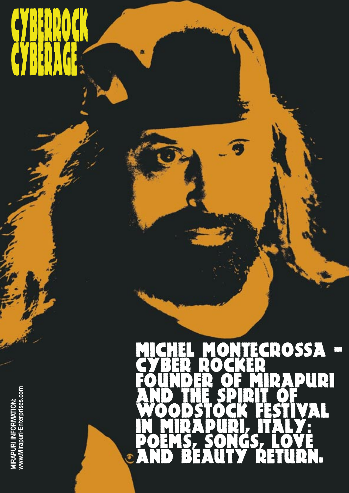## **CYBERRIA CARR V/BERAGE**

自

## CROSSA -CYBER ROCKER FOUNDER OF MIRAPURI<br>AND THE SPIRIT OF<br>WOODSTOCK FESTIVAL<br>IN MIRAPURI, ITALY: POEMS, SONGS, LOVE<br>AND BEAUTY RETURN. €

MIRAPURI INFORMATION:<br>www.Mirapuri-Enterprises.com **MIRAPURI INFORMATION: www.Mirapuri-Enterprises.com**